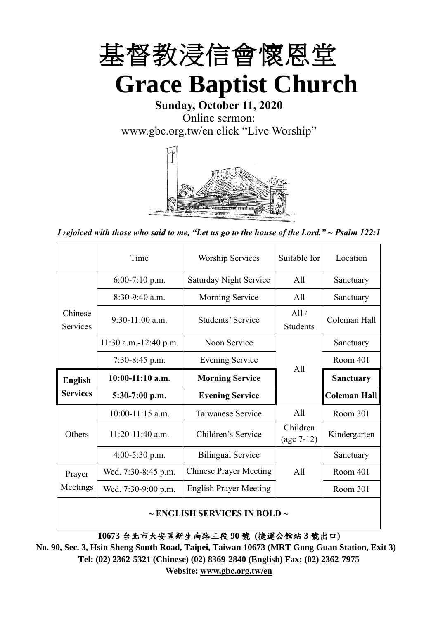

**Sunday, October 11, 2020** Online sermon: [www.gbc.org.tw/en](http://www.gbc.org.tw/en) click "Live Worship"



*I rejoiced with those who said to me, "Let us go to the house of the Lord." ~ Psalm 122:1*

|                            | Time                  | <b>Worship Services</b>       | Suitable for             | Location            |
|----------------------------|-----------------------|-------------------------------|--------------------------|---------------------|
|                            | $6:00-7:10$ p.m.      | <b>Saturday Night Service</b> | All                      | Sanctuary           |
|                            | $8:30-9:40$ a.m.      | <b>Morning Service</b>        | All                      | Sanctuary           |
| Chinese<br><b>Services</b> | $9:30-11:00$ a.m.     | Students' Service             | All /<br><b>Students</b> | Coleman Hall        |
|                            | 11:30 a.m.-12:40 p.m. | Noon Service                  |                          | Sanctuary           |
|                            | $7:30-8:45$ p.m.      | <b>Evening Service</b>        | All                      | Room 401            |
|                            |                       |                               |                          |                     |
| <b>English</b>             | $10:00-11:10$ a.m.    | <b>Morning Service</b>        |                          | <b>Sanctuary</b>    |
| <b>Services</b>            | $5:30-7:00$ p.m.      | <b>Evening Service</b>        |                          | <b>Coleman Hall</b> |
|                            | $10:00-11:15$ a.m.    | Taiwanese Service             | All                      | Room 301            |
| Others                     | $11:20-11:40$ a.m.    | Children's Service            | Children<br>$(age 7-12)$ | Kindergarten        |
|                            | $4:00-5:30$ p.m.      | <b>Bilingual Service</b>      |                          | Sanctuary           |
| Prayer                     | Wed. 7:30-8:45 p.m.   | <b>Chinese Prayer Meeting</b> | A11                      | Room 401            |
| Meetings                   | Wed. 7:30-9:00 p.m.   | <b>English Prayer Meeting</b> |                          | Room 301            |

#### **~ ENGLISH SERVICES IN BOLD ~**

**10673** 台北市大安區新生南路三段 **90** 號 **(**捷運公館站 **3** 號出口**)**

**No. 90, Sec. 3, Hsin Sheng South Road, Taipei, Taiwan 10673 (MRT Gong Guan Station, Exit 3) Tel: (02) 2362-5321 (Chinese) (02) 8369-2840 (English) Fax: (02) 2362-7975 Website: [www.gbc.org.tw/en](http://www.gbc.org.tw/en)**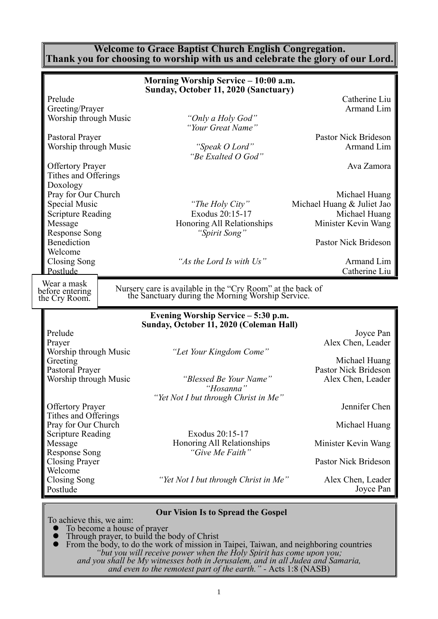#### **Welcome to Grace Baptist Church English Congregation. Thank you for choosing to worship with us and celebrate the glory of our Lord.**

|                                                                                                                                                    | Morning Worship Service - 10:00 a.m.                                                                                   |                                                                                                             |
|----------------------------------------------------------------------------------------------------------------------------------------------------|------------------------------------------------------------------------------------------------------------------------|-------------------------------------------------------------------------------------------------------------|
| Prelude<br>Greeting/Prayer<br>Worship through Music<br>Pastoral Prayer<br>Worship through Music<br><b>Offertory Prayer</b><br>Tithes and Offerings | Sunday, October 11, 2020 (Sanctuary)<br>"Only a Holy God"<br>"Your Great Name"<br>"Speak O Lord"<br>"Be Exalted O God" | Catherine Liu<br>Armand Lim<br>Pastor Nick Brideson<br>Armand Lim<br>Ava Zamora                             |
| Doxology<br>Pray for Our Church<br><b>Special Music</b><br><b>Scripture Reading</b><br>Message<br><b>Response Song</b><br>Benediction<br>Welcome   | "The Holy City"<br>Exodus 20:15-17<br>Honoring All Relationships<br>"Spirit Song"                                      | Michael Huang<br>Michael Huang & Juliet Jao<br>Michael Huang<br>Minister Kevin Wang<br>Pastor Nick Brideson |
| Closing Song<br>Postlude                                                                                                                           | "As the Lord Is with Us"                                                                                               | Armand Lim<br>Catherine Liu                                                                                 |
| Wear a mask<br>before entering                                                                                                                     | Nursery care is available in the "Cry Room" at the back of<br>the Sanctuary during the Morning Worship Service.        |                                                                                                             |
| the Cry Room.                                                                                                                                      |                                                                                                                        |                                                                                                             |
|                                                                                                                                                    | Evening Worship Service - 5:30 p.m.                                                                                    |                                                                                                             |
| Prelude<br>Prayer<br>Worship through Music<br>Greeting<br>Pastoral Prayer<br>Worship through Music                                                 | Sunday, October 11, 2020 (Coleman Hall)<br>"Let Your Kingdom Come"<br>"Blessed Be Your Name"<br>"Hosanna"              | Joyce Pan<br>Alex Chen, Leader<br>Michael Huang<br><b>Pastor Nick Brideson</b><br>Alex Chen, Leader         |
|                                                                                                                                                    | "Yet Not I but through Christ in Me"                                                                                   |                                                                                                             |
| <b>Offertory Prayer</b><br>Tithes and Offerings<br>Pray for Our Church                                                                             | Exodus 20:15-17                                                                                                        | Jennifer Chen<br>Michael Huang                                                                              |
| <b>Scripture Reading</b><br>Message                                                                                                                | Honoring All Relationships                                                                                             | Minister Kevin Wang                                                                                         |
| <b>Response Song</b><br><b>Closing Prayer</b>                                                                                                      | "Give Me Faith"                                                                                                        | Pastor Nick Brideson                                                                                        |
| Welcome<br><b>Closing Song</b><br>Postlude                                                                                                         | "Yet Not I but through Christ in Me"                                                                                   | Alex Chen, Leader<br>Joyce Pan                                                                              |

- ⚫ To become a house of prayer
- ⚫ Through prayer, to build the body of Christ
- ⚫ From the body, to do the work of mission in Taipei, Taiwan, and neighboring countries *"but you will receive power when the Holy Spirit has come upon you; and you shall be My witnesses both in Jerusalem, and in all Judea and Samaria,*

*and even to the remotest part of the earth." -* Acts 1:8 (NASB)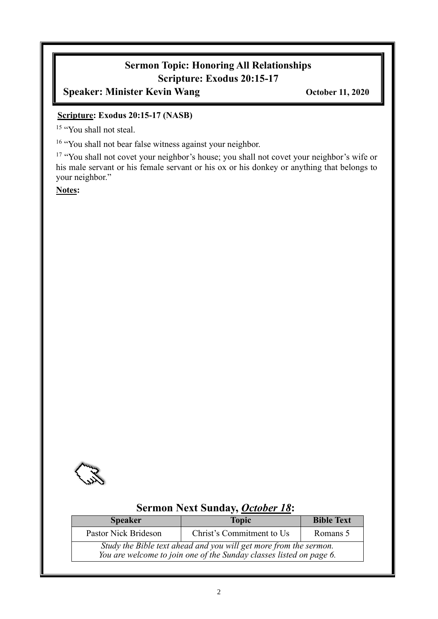# **Sermon Topic: Honoring All Relationships Scripture: Exodus 20:15-17**

**Speaker: Minister Kevin Wang October 11, 2020** 

#### **Scripture: Exodus 20:15-17 (NASB)**

<sup>15</sup> "You shall not steal.

<sup>16</sup> "You shall not bear false witness against your neighbor.

<sup>17</sup> "You shall not covet your neighbor's house; you shall not covet your neighbor's wife or his male servant or his female servant or his ox or his donkey or anything that belongs to your neighbor."

**Notes:**



# **Sermon Next Sunday,** *October 18***:**

| <b>Speaker</b>                                                                                                                           | <b>Topic</b>              | <b>Bible Text</b> |
|------------------------------------------------------------------------------------------------------------------------------------------|---------------------------|-------------------|
| Pastor Nick Brideson                                                                                                                     | Christ's Commitment to Us | Romans 5          |
| Study the Bible text ahead and you will get more from the sermon.<br>You are welcome to join one of the Sunday classes listed on page 6. |                           |                   |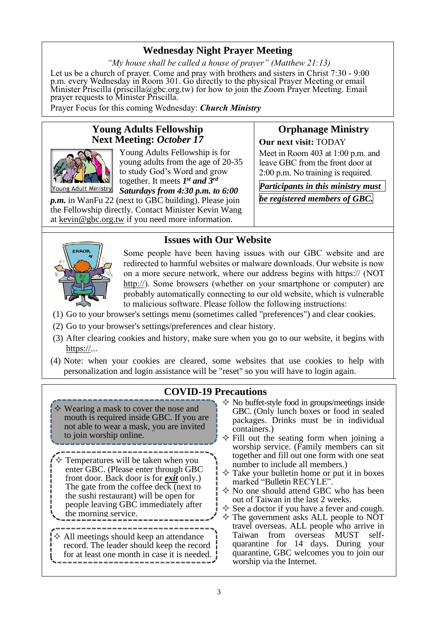# **Wednesday Night Prayer Meeting**

*"My house shall be called a house of prayer" (Matthew 21:13)* Let us be a church of prayer. Come and pray with brothers and sisters in Christ 7:30 - 9:00 p.m. every Wednesday in Room 301. Go directly to the physical Prayer Meeting or email Minister Priscilla (priscilla@gbc.org.tw) for how to join the Zoom Prayer Meeting. Email prayer requests to Minister Priscilla.

Prayer Focus for this coming Wednesday: *Church Ministry*

#### **Young Adults Fellowship Next Meeting:** *October 17*



Young Adults Fellowship is for young adults from the age of 20-35 to study God's Word and grow together. It meets  $I^{st}$  and  $3^{rd}$ *Saturdays from 4:30 p.m. to 6:00* 

*p.m.* in WanFu 22 (next to GBC building). Please join the Fellowship directly. Contact Minister Kevin Wang at kevin@gbc.org.tw if you need more information.

# **Orphanage Ministry**

**Our next visit:** TODAY

Meet in Room 403 at 1:00 p.m. and leave GBC from the front door at 2:00 p.m. No training is required.

*Participants in this ministry must be registered members of GBC.*

# ERROR

**Issues with Our Website**

Some people have been having issues with our GBC website and are redirected to harmful websites or malware downloads. Our website is now on a more secure network, where our address begins with https:// (NOT [http://\)](http://). Some browsers (whether on your smartphone or computer) are probably automatically connecting to our old website, which is vulnerable to malicious software. Please follow the following instructions:

- (1) Go to your browser's settings menu (sometimes called "preferences") and clear cookies.
- (2) Go to your browser's settings/preferences and clear history.
- (3) After clearing cookies and history, make sure when you go to our website, it begins with  $\frac{\text{https://}}{\ldots}$
- (4) Note: when your cookies are cleared, some websites that use cookies to help with personalization and login assistance will be "reset" so you will have to login again.

# **COVID-19 Precautions**

- $\diamond$  Wearing a mask to cover the nose and mouth is required inside GBC. If you are not able to wear a mask, you are invited to join worship online.
- Temperatures will be taken when you enter GBC. (Please enter through GBC front door. Back door is for *exit* only.) The gate from the coffee deck (next to the sushi restaurant) will be open for people leaving GBC immediately after the morning service.
- $\Diamond$  All meetings should keep an attendance record. The leader should keep the record for at least one month in case it is needed.
- $\diamond$  No buffet-style food in groups/meetings inside GBC. (Only lunch boxes or food in sealed packages. Drinks must be in individual containers.)
- $\Diamond$  Fill out the seating form when joining a worship service. (Family members can sit together and fill out one form with one seat number to include all members.)
- $\Diamond$  Take your bulletin home or put it in boxes marked "Bulletin RECYLE".
- $\Diamond$  No one should attend GBC who has been out of Taiwan in the last 2 weeks.
- $\Diamond$  See a doctor if you have a fever and cough.
- $\diamond$  The government asks ALL people to NOT travel overseas. ALL people who arrive in Taiwan from overseas MUST selfquarantine for 14 days. During your quarantine, GBC welcomes you to join our worship via the Internet.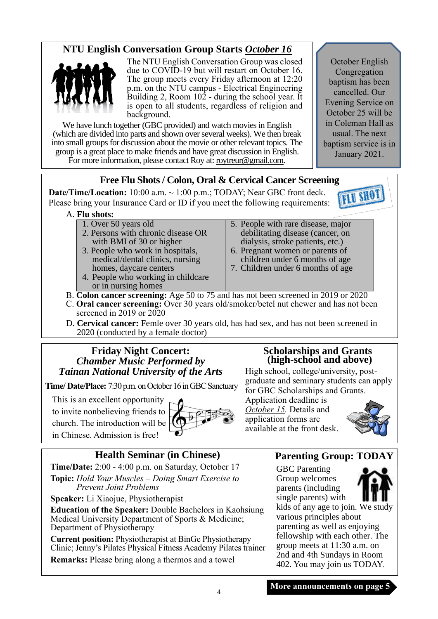# **NTU English Conversation Group Starts** *October 16*



The NTU English Conversation Group was closed due to COVID-19 but will restart on October 16. The group meets every Friday afternoon at 12:20 p.m. on the NTU campus - Electrical Engineering Building 2, Room 102 - during the school year. It is open to all students, regardless of religion and background.

We have lunch together (GBC provided) and watch movies in English (which are divided into parts and shown over several weeks). We then break into small groups for discussion about the movie or other relevant topics. The group is a great place to make friends and have great discussion in English. For more information, please contact Roy at: [roytreur@gmail.com.](mailto:roytreur@gmail.com)

October English Congregation baptism has been cancelled. Our Evening Service on October 25 will be in Coleman Hall as usual. The next baptism service is in January 2021.

### **Free Flu Shots / Colon, Oral & Cervical Cancer Screening**

**Date/Time/Location:** 10:00 a.m. ~ 1:00 p.m.; TODAY; Near GBC front deck. Please bring your Insurance Card or ID if you meet the following requirements:



#### A. **Flu shots:**

- 1. Over 50 years old
- 2. Persons with chronic disease OR with BMI of 30 or higher
- 3. People who work in hospitals, medical/dental clinics, nursing homes, daycare centers
- 4. People who working in childcare or in nursing homes
- 5. People with rare disease, major debilitating disease (cancer, on dialysis, stroke patients, etc.)
- 6. Pregnant women or parents of children under 6 months of age
- 7. Children under 6 months of age
- B. **Colon cancer screening:** Age 50 to 75 and has not been screened in 2019 or 2020
- C. **Oral cancer screening:** Over 30 years old/smoker/betel nut chewer and has not been screened in 2019 or  $2020$
- D. **Cervical cancer:** Femle over 30 years old, has had sex, and has not been screened in 2020 (conducted by a female doctor)

#### **Friday Night Concert:**  *Chamber Music Performed by Tainan National University of the Arts*

**Time/ Date/Place:** 7:30 p.m. on October 16 in GBC Sanctuary

This is an excellent opportunity

to invite nonbelieving friends to church. The introduction will be in Chinese. Admission is free!



**Health Seminar (in Chinese) Time/Date:** 2:00 - 4:00 p.m. on Saturday, October 17

**Topic:** *Hold Your Muscles – Doing Smart Exercise to Prevent Joint Problems*

**Speaker:** Li Xiaojue, Physiotherapist

**Education of the Speaker:** Double Bachelors in Kaohsiung Medical University Department of Sports & Medicine; Department of Physiotherapy

**Current position:** Physiotherapist at BinGe Physiotherapy Clinic; Jenny's Pilates Physical Fitness Academy Pilates trainer

**Remarks:** Please bring along a thermos and a towel

#### **Scholarships and Grants (high-school and above)**

High school, college/university, postgraduate and seminary students can apply for GBC Scholarships and Grants.

Application deadline is *October 15.* Details and application forms are available at the front desk.



# **Parenting Group: TODAY**

GBC Parenting Group welcomes parents (including single parents) with kids of any age to join. We study various principles about parenting as well as enjoying fellowship with each other. The group meets at 11:30 a.m. on 2nd and 4th Sundays in Room 402. You may join us TODAY.

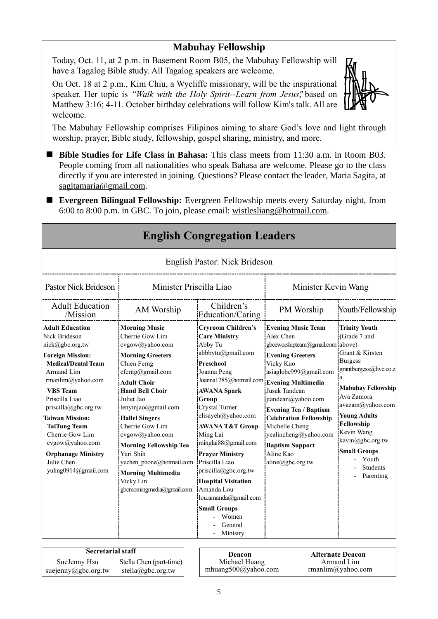# **Mabuhay Fellowship**

Today, Oct. 11, at 2 p.m. in Basement Room B05, the Mabuhay Fellowship will have a Tagalog Bible study. All Tagalog speakers are welcome.

On Oct. 18 at 2 p.m., Kim Chiu, a Wycliffe missionary, will be the inspirational speaker. Her topic is *"Walk with the Holy Spirit--Learn from Jesus"*, based on Matthew 3:16; 4-11. October birthday celebrations will follow Kim's talk. All are welcome.



The Mabuhay Fellowship comprises Filipinos aiming to share God's love and light through worship, prayer, Bible study, fellowship, gospel sharing, ministry, and more.

- Bible Studies for Life Class in Bahasa: This class meets from 11:30 a.m. in Room B03. People coming from all nationalities who speak Bahasa are welcome. Please go to the class directly if you are interested in joining. Questions? Please contact the leader, Maria Sagita, at sagitamaria@gmail.com.
- **Evergreen Bilingual Fellowship:** Evergreen Fellowship meets every Saturday night, from 6:00 to 8:00 p.m. in GBC. To join, please email: [wistlesliang@hotmail.com.](mailto:wistlesliang@hotmail.com)

|                                                                                                                                                                                                                                                                                                                                                                                           |                                                                                                                                                                                                                                                                                                                                                                                                                               | <b>English Congregation Leaders</b>                                                                                                                                                                                                                                                                                                                                                                                                                                          |                                                                                                                                                                                                                                                                                                                                                                                            |                                                                                                                                                                                                                                                                                                                |
|-------------------------------------------------------------------------------------------------------------------------------------------------------------------------------------------------------------------------------------------------------------------------------------------------------------------------------------------------------------------------------------------|-------------------------------------------------------------------------------------------------------------------------------------------------------------------------------------------------------------------------------------------------------------------------------------------------------------------------------------------------------------------------------------------------------------------------------|------------------------------------------------------------------------------------------------------------------------------------------------------------------------------------------------------------------------------------------------------------------------------------------------------------------------------------------------------------------------------------------------------------------------------------------------------------------------------|--------------------------------------------------------------------------------------------------------------------------------------------------------------------------------------------------------------------------------------------------------------------------------------------------------------------------------------------------------------------------------------------|----------------------------------------------------------------------------------------------------------------------------------------------------------------------------------------------------------------------------------------------------------------------------------------------------------------|
|                                                                                                                                                                                                                                                                                                                                                                                           |                                                                                                                                                                                                                                                                                                                                                                                                                               | English Pastor: Nick Brideson                                                                                                                                                                                                                                                                                                                                                                                                                                                |                                                                                                                                                                                                                                                                                                                                                                                            |                                                                                                                                                                                                                                                                                                                |
| Minister Priscilla Liao<br><b>Pastor Nick Brideson</b>                                                                                                                                                                                                                                                                                                                                    |                                                                                                                                                                                                                                                                                                                                                                                                                               |                                                                                                                                                                                                                                                                                                                                                                                                                                                                              | Minister Kevin Wang                                                                                                                                                                                                                                                                                                                                                                        |                                                                                                                                                                                                                                                                                                                |
| <b>Adult Education</b><br>/Mission                                                                                                                                                                                                                                                                                                                                                        | AM Worship                                                                                                                                                                                                                                                                                                                                                                                                                    | Children's<br>Education/Caring                                                                                                                                                                                                                                                                                                                                                                                                                                               | PM Worship                                                                                                                                                                                                                                                                                                                                                                                 | Youth/Fellowship                                                                                                                                                                                                                                                                                               |
| <b>Adult Education</b><br>Nick Brideson<br>nick@gbc.org.tw<br><b>Foreign Mission:</b><br><b>Medical/Dental Team</b><br>Armand Lim<br>rmanlim@yahoo.com<br><b>VBS</b> Team<br>Priscilla Liao<br>$priscilla(\partial gbc.org.tw)$<br><b>Taiwan Mission:</b><br><b>TaiTung Team</b><br>Cherrie Gow Lim<br>cvgow@yahoo.com<br><b>Orphanage Ministry</b><br>Julie Chen<br>yuling0914@gmail.com | <b>Morning Music</b><br>Cherrie Gow Lim<br>cvgow@yahoo.com<br><b>Morning Greeters</b><br>Chien Ferng<br>cferng@gmail.com<br><b>Adult Choir</b><br><b>Hand Bell Choir</b><br>Juliet Jao<br>lenyinjao@gmail.com<br><b>Hallel Singers</b><br>Cherrie Gow Lim<br>cvgow@yahoo.com<br><b>Morning Fellowship Tea</b><br>Yuri Shih<br>yuchen phone@hotmail.com<br><b>Morning Multimedia</b><br>Vicky Lin<br>gbcmorningmedia@gmail.com | <b>Cryroom Children's</b><br><b>Care Ministry</b><br>Abby Tu<br>abbbytu@gmail.com<br>Preschool<br>Joanna Peng<br>Joanna1285@hotmail.com<br>AWANA Spark<br>Group<br>Crystal Turner<br>elisayeh@yahoo.com<br>AWANA T&T Group<br>Ming Lai<br>minglai $88$ @gmail.com<br><b>Prayer Ministry</b><br>Priscilla Liao<br>$priscilla(\partial gbc.org.tw)$<br><b>Hospital Visitation</b><br>Amanda Lou<br>lou.amanda@gmail.com<br><b>Small Groups</b><br>Women<br>General<br>Ministry | <b>Evening Music Team</b><br>Alex Chen<br>gbceworshipteam@gmail.com above)<br><b>Evening Greeters</b><br>Vicky Kuo<br>asiaglobe999@gmail.com<br><b>Evening Multimedia</b><br>Jusak Tandean<br>$itandean@$ yahoo.com<br><b>Evening Tea / Baptism</b><br><b>Celebration Fellowship</b><br>Michelle Cheng<br>yealincheng@yahoo.com<br><b>Baptism Support</b><br>Aline Kao<br>aline@gbc.org.tw | <b>Trinity Youth</b><br>(Grade 7 and<br>Grant & Kirsten<br><b>Burgess</b><br>grantburgess@live.co.z<br>a<br><b>Mabuhay Fellowship</b><br>Ava Zamora<br>avazam@yahoo.com<br><b>Young Adults</b><br>Fellowship<br>Kevin Wang<br>kavin@gbc.org.tw<br><b>Small Groups</b><br>Youth<br><b>Students</b><br>Parenting |

| <b>Secretarial staff</b> | Deacon                  |  |              |
|--------------------------|-------------------------|--|--------------|
| SueJenny Hsu             | Stella Chen (part-time) |  | Michael H    |
| suejenny@gbc.org.tw      | stella@gbc.org.tw       |  | mhuang500@ya |

Michael Huang mhuang500@yahoo.com

**Alternate Deacon** Armand Lim rmanlim@yahoo.com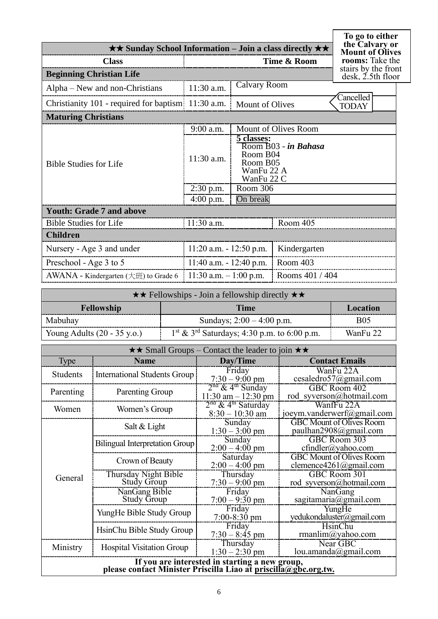| $\star\star$ Sunday School Information – Join a class directly $\star\star$ | To go to either<br>the Calvary or<br><b>Mount of Olives</b> |                                                                                        |                      |                                                           |
|-----------------------------------------------------------------------------|-------------------------------------------------------------|----------------------------------------------------------------------------------------|----------------------|-----------------------------------------------------------|
| <b>Class</b>                                                                |                                                             |                                                                                        | Time & Room          | rooms: Take the                                           |
| <b>Beginning Christian Life</b>                                             |                                                             |                                                                                        |                      | stairs by the front<br>$\text{ desk}, \text{2.5th floor}$ |
| Alpha – New and non-Christians                                              | 11:30 a.m.                                                  | <b>Calvary Room</b>                                                                    |                      |                                                           |
| Christianity 101 - required for baptism 11:30 a.m.                          |                                                             | <b>Mount of Olives</b>                                                                 |                      | Cancelled<br><b>TODAY</b>                                 |
| <b>Maturing Christians</b>                                                  |                                                             |                                                                                        |                      |                                                           |
|                                                                             | 9:00 a.m.                                                   |                                                                                        | Mount of Olives Room |                                                           |
| <b>Bible Studies for Life</b>                                               | 11:30 a.m.                                                  | 5 classes:<br>Room B03 - in Bahasa<br>Room B04<br>Room B05<br>WanFu 22 A<br>WanFu 22 C |                      |                                                           |
|                                                                             | 2:30 p.m.                                                   | Room 306                                                                               |                      |                                                           |
| On break<br>$4:00$ p.m.                                                     |                                                             |                                                                                        |                      |                                                           |
| <b>Youth: Grade 7 and above</b>                                             |                                                             |                                                                                        |                      |                                                           |
| <b>Bible Studies for Life</b>                                               | 11:30 a.m.                                                  |                                                                                        | Room 405             |                                                           |
| <b>Children</b>                                                             |                                                             |                                                                                        |                      |                                                           |
| Nursery - Age 3 and under                                                   | $11:20$ a.m. $-12:50$ p.m.                                  |                                                                                        | Kindergarten         |                                                           |
| Preschool - Age 3 to 5                                                      | $11:40$ a.m. $-12:40$ p.m.                                  |                                                                                        | Room 403             |                                                           |
| AWANA - Kindergarten (大班) to Grade 6                                        | 11:30 a.m. $-1:00$ p.m.                                     |                                                                                        | Rooms 401 / 404      |                                                           |

| $\star \star$ Fellowships - Join a fellowship directly $\star \star$ |                                                           |            |  |
|----------------------------------------------------------------------|-----------------------------------------------------------|------------|--|
| <b>Time</b><br>Location<br><b>Fellowship</b>                         |                                                           |            |  |
| Mabuhay                                                              | Sundays; $2:00 - 4:00$ p.m.                               | <b>B05</b> |  |
| Young Adults $(20 - 35 \text{ y.o.})$                                | $1st$ & 3 <sup>rd</sup> Saturdays; 4:30 p.m. to 6:00 p.m. | WanFu 22   |  |

|           | $\star \star$ Small Groups – Contact the leader to join $\star \star$                                             |                                                          |                                                           |  |  |  |
|-----------|-------------------------------------------------------------------------------------------------------------------|----------------------------------------------------------|-----------------------------------------------------------|--|--|--|
| Type      | <b>Name</b>                                                                                                       | Day/Time                                                 | <b>Contact Emails</b>                                     |  |  |  |
| Students  | <b>International Students Group</b>                                                                               | Friday<br>$7:30 - 9:00$ pm                               | WanFu 22A<br>cesaledro57@gmail.com                        |  |  |  |
| Parenting | Parenting Group                                                                                                   | $2nd$ & 4 <sup>th</sup> Sunday<br>$11:30$ am $-12:30$ pm | GBC Room 402<br>rod syverson@hotmail.com                  |  |  |  |
| Women     | Women's Group                                                                                                     | $2nd$ & 4 <sup>th</sup> Saturday<br>$8:30 - 10:30$ am    | WanfFu 22A<br>joeym.vanderwerf@gmail.com                  |  |  |  |
|           | Salt & Light                                                                                                      | Sunday<br>$1:30 - 3:00$ pm                               | <b>GBC Mount of Olives Room</b><br>paulhan2908@gmail.com  |  |  |  |
|           | <b>Bilingual Interpretation Group</b>                                                                             | Sunday<br>$2:00 - 4:00$ pm                               | GBC Room 303<br>$cfindler(a)$ yahoo.com                   |  |  |  |
|           | Crown of Beauty                                                                                                   | Saturday<br>$2:00 - 4:00$ pm                             | <b>GBC</b> Mount of Olives Room<br>clemence4261@gmail.com |  |  |  |
| General   | Thursday Night Bible<br><b>Study Group</b>                                                                        | Thursday<br>$7:30 - 9:00$ pm                             | GBC Room 301<br>rod syverson@hotmail.com                  |  |  |  |
|           | NanGang Bible<br><b>Study Group</b>                                                                               | Friday<br>$7:00 - 9:30$ pm                               | NanGang<br>sagitamaria@gmail.com                          |  |  |  |
|           | YungHe Bible Study Group                                                                                          | Friday<br>$7:00 - 8:30$ pm                               | YungHe<br>yedukondaluster@gmail.com                       |  |  |  |
|           | HsinChu Bible Study Group                                                                                         | Friday<br>$7:30 - 8:45$ pm                               | HsinChu<br>rmanlim@yahoo.com                              |  |  |  |
| Ministry  | <b>Hospital Visitation Group</b>                                                                                  | Thursday<br>$1:30 - 2:30$ pm                             | Near GBC<br>lou.amanda@gmail.com                          |  |  |  |
|           | If you are interested in starting a new group,<br>please contact Minister Priscilla Liao at priscilla@gbc.org.tw. |                                                          |                                                           |  |  |  |